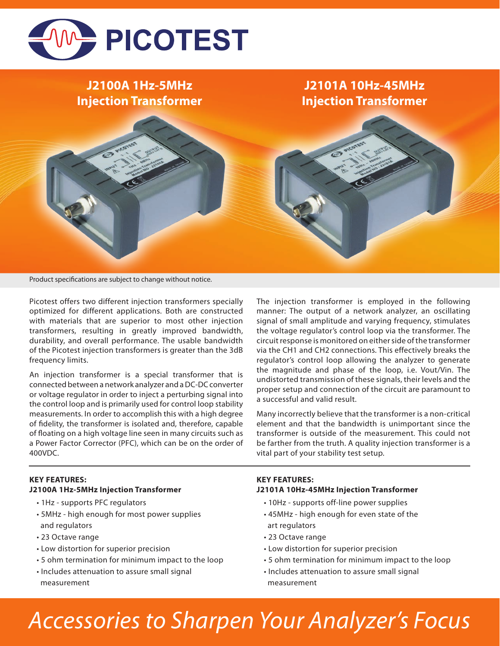

# **J2100A 1Hz-5MHz Injection Transformer**

## **J2101A 10Hz-45MHz Injection Transformer**

Product specifications are subject to change without notice.

Picotest offers two different injection transformers specially optimized for different applications. Both are constructed with materials that are superior to most other injection transformers, resulting in greatly improved bandwidth, durability, and overall performance. The usable bandwidth of the Picotest injection transformers is greater than the 3dB frequency limits.

An injection transformer is a special transformer that is connected between a network analyzer and a DC-DC converter or voltage regulator in order to inject a perturbing signal into the control loop and is primarily used for control loop stability measurements. In order to accomplish this with a high degree of fidelity, the transformer is isolated and, therefore, capable of floating on a high voltage line seen in many circuits such as a Power Factor Corrector (PFC), which can be on the order of 400VDC.

The injection transformer is employed in the following manner: The output of a network analyzer, an oscillating signal of small amplitude and varying frequency, stimulates the voltage regulator's control loop via the transformer. The circuit response is monitored on either side of the transformer via the CH1 and CH2 connections. This effectively breaks the regulator's control loop allowing the analyzer to generate the magnitude and phase of the loop, i.e. Vout/Vin. The undistorted transmission of these signals, their levels and the proper setup and connection of the circuit are paramount to a successful and valid result.

Many incorrectly believe that the transformer is a non-critical element and that the bandwidth is unimportant since the transformer is outside of the measurement. This could not be farther from the truth. A quality injection transformer is a vital part of your stability test setup.

### **KEY FEATURES: J2100A 1Hz-5MHz Injection Transformer**

- 1Hz supports PFC regulators
- 5MHz high enough for most power supplies and regulators
- 23 Octave range
- Low distortion for superior precision
- 5 ohm termination for minimum impact to the loop
- Includes attenuation to assure small signal measurement

### **KEY FEATURES: J2101A 10Hz-45MHz Injection Transformer**

- 10Hz supports off-line power supplies
- 45MHz high enough for even state of the art regulators
- 23 Octave range
- Low distortion for superior precision
- 5 ohm termination for minimum impact to the loop
- Includes attenuation to assure small signal measurement

# *Accessories to Sharpen Your Analyzer's Focus*